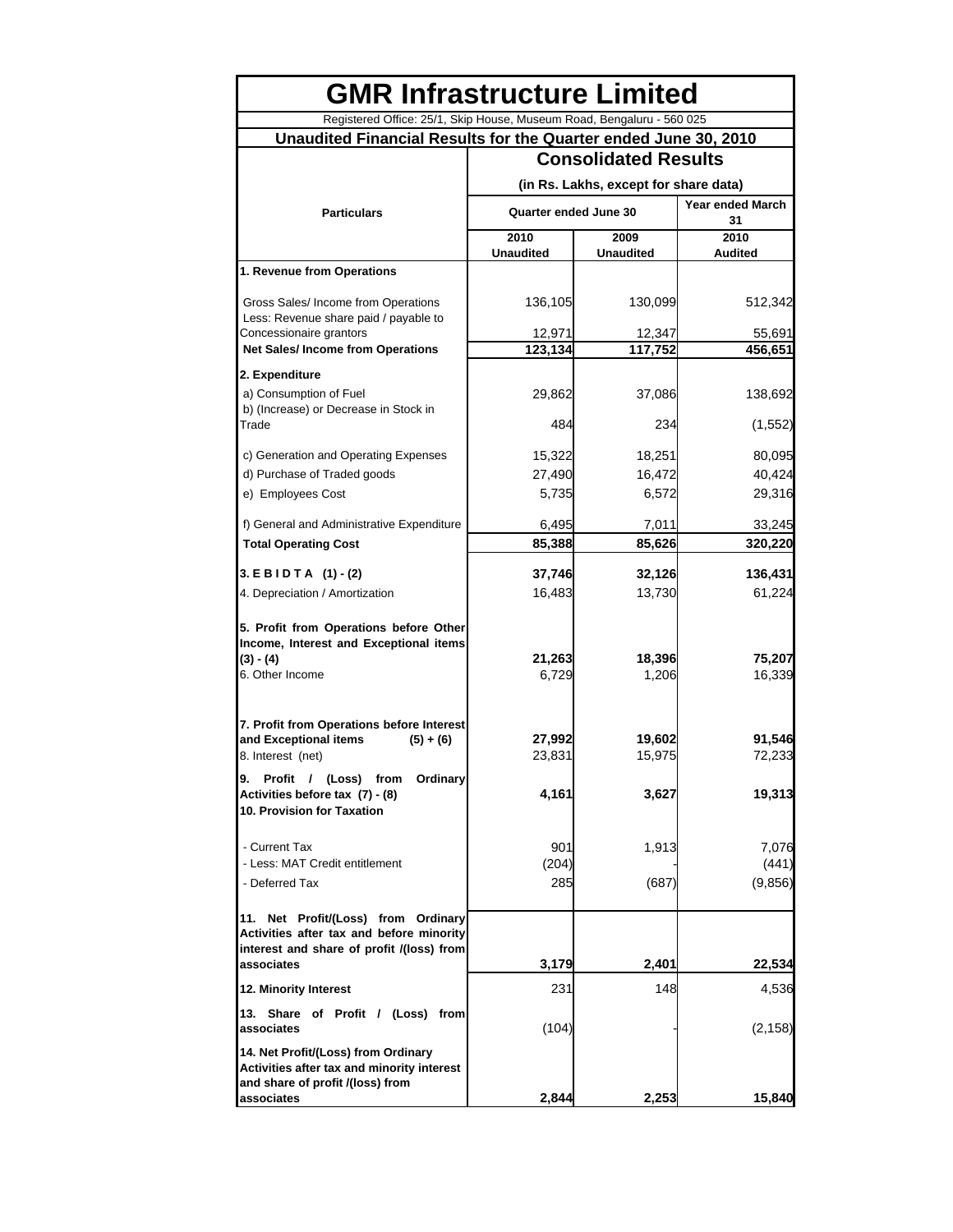| <b>GMR Infrastructure Limited</b>                                                                                                             |                             |                                       |                               |  |  |
|-----------------------------------------------------------------------------------------------------------------------------------------------|-----------------------------|---------------------------------------|-------------------------------|--|--|
| Registered Office: 25/1, Skip House, Museum Road, Bengaluru - 560 025                                                                         |                             |                                       |                               |  |  |
| Unaudited Financial Results for the Quarter ended June 30, 2010                                                                               |                             |                                       |                               |  |  |
|                                                                                                                                               | <b>Consolidated Results</b> |                                       |                               |  |  |
|                                                                                                                                               |                             | (in Rs. Lakhs, except for share data) |                               |  |  |
| <b>Particulars</b>                                                                                                                            | Quarter ended June 30       |                                       | <b>Year ended March</b><br>31 |  |  |
|                                                                                                                                               | 2010                        | 2009                                  | 2010                          |  |  |
|                                                                                                                                               | <b>Unaudited</b>            | <b>Unaudited</b>                      | Audited                       |  |  |
| 1. Revenue from Operations                                                                                                                    |                             |                                       |                               |  |  |
| Gross Sales/ Income from Operations<br>Less: Revenue share paid / payable to                                                                  | 136,105                     | 130,099                               | 512,342                       |  |  |
| Concessionaire grantors                                                                                                                       | 12,971                      | 12,347                                | 55,691                        |  |  |
| <b>Net Sales/Income from Operations</b>                                                                                                       | 123,134                     | 117,752                               | 456,651                       |  |  |
| 2. Expenditure                                                                                                                                |                             |                                       |                               |  |  |
| a) Consumption of Fuel<br>b) (Increase) or Decrease in Stock in                                                                               | 29,862                      | 37,086                                | 138,692                       |  |  |
| Trade                                                                                                                                         | 484                         | 234                                   | (1, 552)                      |  |  |
|                                                                                                                                               |                             |                                       |                               |  |  |
| c) Generation and Operating Expenses                                                                                                          | 15,322                      | 18,251                                | 80,095                        |  |  |
| d) Purchase of Traded goods<br>e) Employees Cost                                                                                              | 27,490                      | 16,472                                | 40,424                        |  |  |
|                                                                                                                                               | 5,735                       | 6,572                                 | 29,316                        |  |  |
| f) General and Administrative Expenditure                                                                                                     | 6,495                       | 7,011                                 | 33,245                        |  |  |
| <b>Total Operating Cost</b>                                                                                                                   | 85,388                      | 85,626                                | 320,220                       |  |  |
| 3. E B I D T A (1) - (2)                                                                                                                      | 37,746                      | 32,126                                | 136,431                       |  |  |
| 4. Depreciation / Amortization                                                                                                                | 16,483                      | 13,730                                | 61,224                        |  |  |
| 5. Profit from Operations before Other<br>Income, Interest and Exceptional items<br>(3) - (4)<br>6. Other Income                              | 21,263<br>6,729             | 18,396<br>1,206                       | 75,207<br>16,339              |  |  |
| 7. Profit from Operations before Interest<br>and Exceptional items<br>$(5) + (6)$<br>8. Interest (net)<br>9. Profit / (Loss) from<br>Ordinary | 27,992<br>23,831            | 19,602<br>15,975                      | 91,546<br>72,233              |  |  |
| Activities before tax (7) - (8)<br>10. Provision for Taxation                                                                                 | 4,161                       | 3,627                                 | 19,313                        |  |  |
| - Current Tax                                                                                                                                 | 901                         | 1,913                                 | 7.076                         |  |  |
| - Less: MAT Credit entitlement                                                                                                                | (204)                       |                                       | (441)                         |  |  |
| - Deferred Tax                                                                                                                                | 285                         | (687)                                 | (9, 856)                      |  |  |
| 11. Net Profit/(Loss) from Ordinary<br>Activities after tax and before minority<br>interest and share of profit /(loss) from                  |                             |                                       |                               |  |  |
| associates                                                                                                                                    | 3,179                       | 2,401                                 | 22,534                        |  |  |
| 12. Minority Interest                                                                                                                         | 231                         | 148                                   | 4,536                         |  |  |
| 13. Share of Profit / (Loss) from<br>associates                                                                                               | (104)                       |                                       | (2, 158)                      |  |  |
| 14. Net Profit/(Loss) from Ordinary<br>Activities after tax and minority interest<br>and share of profit /(loss) from                         |                             |                                       |                               |  |  |
| associates                                                                                                                                    | 2,844                       | 2,253                                 | 15,840                        |  |  |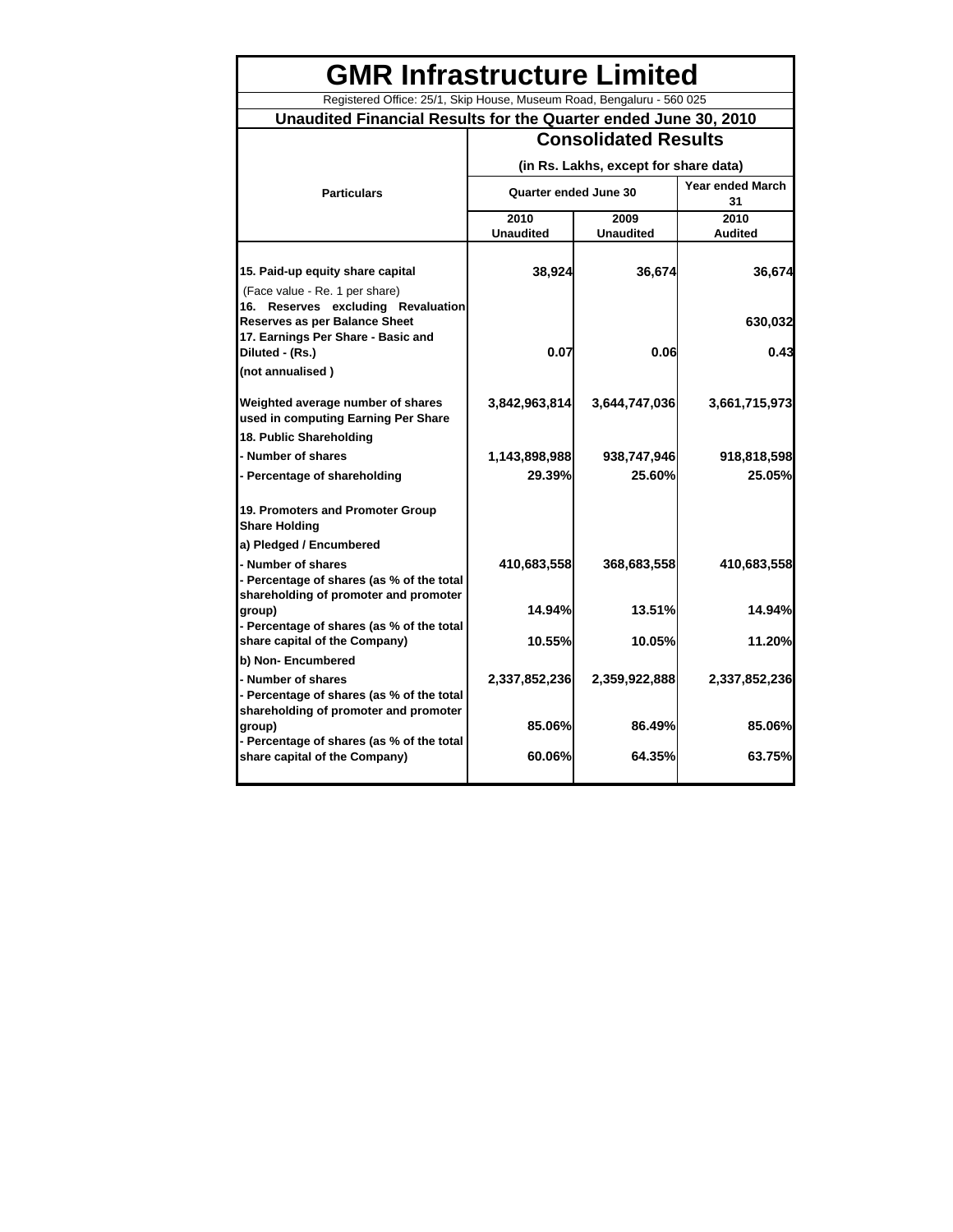## **GMR Infrastructure Limited**

## Registered Office: 25/1, Skip House, Museum Road, Bengaluru - 560 025 **Unaudited Financial Results for the Quarter ended June 30, 2010**

|                                                                                              | <b>Consolidated Results</b> |                                       |                               |
|----------------------------------------------------------------------------------------------|-----------------------------|---------------------------------------|-------------------------------|
|                                                                                              |                             | (in Rs. Lakhs, except for share data) |                               |
| <b>Particulars</b>                                                                           | Quarter ended June 30       |                                       | <b>Year ended March</b><br>31 |
|                                                                                              | 2010                        | 2009                                  | 2010                          |
|                                                                                              | <b>Unaudited</b>            | <b>Unaudited</b>                      | <b>Audited</b>                |
| 15. Paid-up equity share capital                                                             | 38,924                      | 36,674                                | 36,674                        |
| (Face value - Re. 1 per share)<br>16. Reserves excluding Revaluation                         |                             |                                       |                               |
| <b>Reserves as per Balance Sheet</b><br>17. Earnings Per Share - Basic and                   |                             |                                       | 630,032                       |
| Diluted - (Rs.)                                                                              | 0.07                        | 0.06                                  | 0.43                          |
| (not annualised)                                                                             |                             |                                       |                               |
| Weighted average number of shares<br>used in computing Earning Per Share                     | 3,842,963,814               | 3,644,747,036                         | 3,661,715,973                 |
| 18. Public Shareholding                                                                      |                             |                                       |                               |
| - Number of shares                                                                           | 1,143,898,988               | 938,747,946                           | 918,818,598                   |
| - Percentage of shareholding                                                                 | 29.39%                      | 25.60%                                | 25.05%                        |
| 19. Promoters and Promoter Group<br><b>Share Holding</b>                                     |                             |                                       |                               |
| a) Pledged / Encumbered                                                                      |                             |                                       |                               |
| - Number of shares<br>- Percentage of shares (as % of the total                              | 410,683,558                 | 368,683,558                           | 410,683,558                   |
| shareholding of promoter and promoter<br>group)<br>- Percentage of shares (as % of the total | 14.94%                      | 13.51%                                | 14.94%                        |
| share capital of the Company)                                                                | 10.55%                      | 10.05%                                | 11.20%                        |
| b) Non- Encumbered                                                                           |                             |                                       |                               |
| - Number of shares<br>- Percentage of shares (as % of the total                              | 2,337,852,236               | 2,359,922,888                         | 2,337,852,236                 |
| shareholding of promoter and promoter<br>group)                                              | 85.06%                      | 86.49%                                | 85.06%                        |
| - Percentage of shares (as % of the total<br>share capital of the Company)                   | 60.06%                      | 64.35%                                | 63.75%                        |
|                                                                                              |                             |                                       |                               |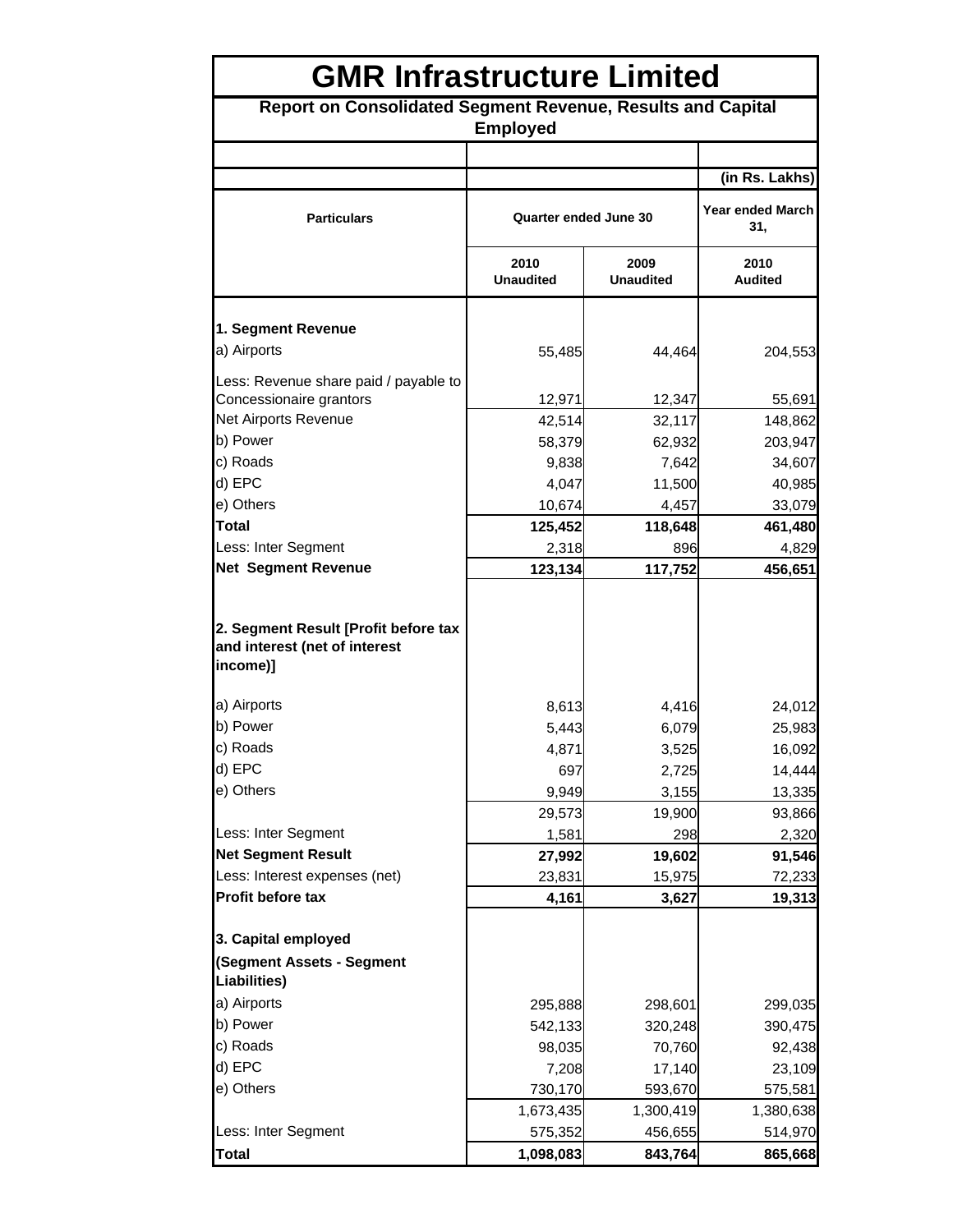| <b>GMR Infrastructure Limited</b>                                                 |                          |                          |                                |  |
|-----------------------------------------------------------------------------------|--------------------------|--------------------------|--------------------------------|--|
| Report on Consolidated Segment Revenue, Results and Capital<br><b>Employed</b>    |                          |                          |                                |  |
|                                                                                   |                          |                          |                                |  |
|                                                                                   |                          |                          | (in Rs. Lakhs)                 |  |
| <b>Particulars</b>                                                                | Quarter ended June 30    |                          | <b>Year ended March</b><br>31, |  |
|                                                                                   | 2010<br><b>Unaudited</b> | 2009<br><b>Unaudited</b> | 2010<br>Audited                |  |
| 1. Segment Revenue                                                                |                          |                          |                                |  |
| a) Airports                                                                       | 55,485                   | 44,464                   | 204,553                        |  |
| Less: Revenue share paid / payable to                                             |                          |                          |                                |  |
| Concessionaire grantors                                                           | 12,971                   | 12,347                   | 55,691                         |  |
| Net Airports Revenue                                                              | 42,514                   | 32,117                   | 148,862                        |  |
| b) Power                                                                          | 58,379                   | 62,932                   | 203,947                        |  |
| c) Roads                                                                          | 9,838                    | 7,642                    | 34,607                         |  |
| d) EPC                                                                            | 4,047                    | 11,500                   | 40,985                         |  |
| e) Others                                                                         | 10,674                   | 4,457                    | 33,079                         |  |
| <b>Total</b>                                                                      | 125,452                  | 118,648                  | 461,480                        |  |
| Less: Inter Segment                                                               | 2,318                    | 896                      | 4,829                          |  |
| <b>Net Segment Revenue</b>                                                        | 123,134                  | 117,752                  | 456,651                        |  |
| 2. Segment Result [Profit before tax<br>and interest (net of interest<br>income)] |                          |                          |                                |  |
| a) Airports                                                                       | 8,613                    | 4,416                    | 24,012                         |  |
| b) Power                                                                          | 5,443                    | 6,079                    | 25,983                         |  |
| c) Roads                                                                          | 4,871                    | 3,525                    | 16,092                         |  |
| d) EPC                                                                            | 697                      | 2,725                    | 14,444                         |  |
| e) Others                                                                         | 9,949                    | 3,155                    | 13,335                         |  |
|                                                                                   | 29,573                   | 19,900                   | 93,866                         |  |
| Less: Inter Segment                                                               | 1,581                    | 298                      | 2,320                          |  |
| <b>Net Segment Result</b>                                                         | 27,992                   | 19,602                   | 91,546                         |  |
| Less: Interest expenses (net)                                                     | 23,831                   | 15,975                   | 72,233                         |  |
| Profit before tax                                                                 | 4,161                    | 3,627                    | 19,313                         |  |
|                                                                                   |                          |                          |                                |  |
| 3. Capital employed<br>(Segment Assets - Segment                                  |                          |                          |                                |  |
| Liabilities)                                                                      |                          |                          |                                |  |
| a) Airports                                                                       | 295,888                  | 298,601                  | 299,035                        |  |
| b) Power                                                                          | 542,133                  | 320,248                  | 390,475                        |  |
| c) Roads                                                                          | 98,035                   | 70,760                   | 92,438                         |  |
| d) EPC                                                                            | 7,208                    | 17,140                   | 23,109                         |  |
| e) Others                                                                         | 730,170                  | 593,670                  | 575,581                        |  |
|                                                                                   | 1,673,435                | 1,300,419                | 1,380,638                      |  |
| Less: Inter Segment                                                               | 575,352                  | 456,655                  | 514,970                        |  |
| <b>Total</b>                                                                      | 1,098,083                | 843,764                  | 865,668                        |  |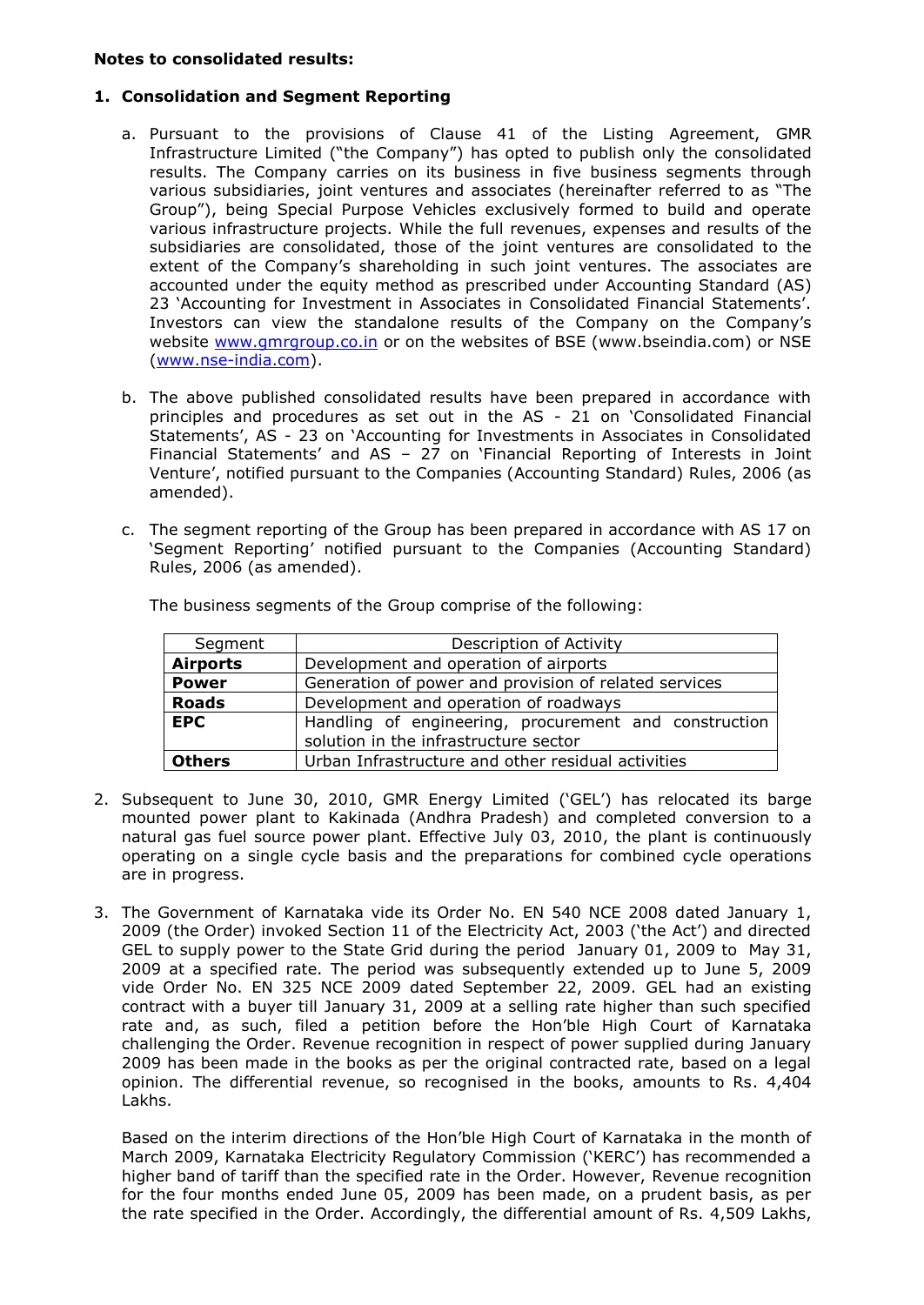## **Notes to consolidated results:**

## **1. Consolidation and Segment Reporting**

- a. Pursuant to the provisions of Clause 41 of the Listing Agreement, GMR Infrastructure Limited ("the Company") has opted to publish only the consolidated results. The Company carries on its business in five business segments through various subsidiaries, joint ventures and associates (hereinafter referred to as "The Group"), being Special Purpose Vehicles exclusively formed to build and operate various infrastructure projects. While the full revenues, expenses and results of the subsidiaries are consolidated, those of the joint ventures are consolidated to the extent of the Company's shareholding in such joint ventures. The associates are accounted under the equity method as prescribed under Accounting Standard (AS) 23 "Accounting for Investment in Associates in Consolidated Financial Statements". Investors can view the standalone results of the Company on the Company"s website [www.gmrgroup.co.in](http://www.gmrgroup.co.in/) or on the websites of BSE (www.bseindia.com) or NSE [\(www.nse-india.com\)](http://www.nse-india.com/).
- b. The above published consolidated results have been prepared in accordance with principles and procedures as set out in the AS - 21 on "Consolidated Financial Statements', AS - 23 on 'Accounting for Investments in Associates in Consolidated Financial Statements" and AS – 27 on "Financial Reporting of Interests in Joint Venture", notified pursuant to the Companies (Accounting Standard) Rules, 2006 (as amended).
- c. The segment reporting of the Group has been prepared in accordance with AS 17 on "Segment Reporting" notified pursuant to the Companies (Accounting Standard) Rules, 2006 (as amended).

| Segment         | Description of Activity                                                                        |
|-----------------|------------------------------------------------------------------------------------------------|
| <b>Airports</b> | Development and operation of airports                                                          |
| <b>Power</b>    | Generation of power and provision of related services                                          |
| <b>Roads</b>    | Development and operation of roadways                                                          |
| <b>EPC</b>      | Handling of engineering, procurement and construction<br>solution in the infrastructure sector |
| <b>Others</b>   | Urban Infrastructure and other residual activities                                             |

The business segments of the Group comprise of the following:

- 2. Subsequent to June 30, 2010, GMR Energy Limited ("GEL") has relocated its barge mounted power plant to Kakinada (Andhra Pradesh) and completed conversion to a natural gas fuel source power plant. Effective July 03, 2010, the plant is continuously operating on a single cycle basis and the preparations for combined cycle operations are in progress.
- 3. The Government of Karnataka vide its Order No. EN 540 NCE 2008 dated January 1, 2009 (the Order) invoked Section 11 of the Electricity Act, 2003 ('the Act') and directed GEL to supply power to the State Grid during the period January 01, 2009 to May 31, 2009 at a specified rate. The period was subsequently extended up to June 5, 2009 vide Order No. EN 325 NCE 2009 dated September 22, 2009. GEL had an existing contract with a buyer till January 31, 2009 at a selling rate higher than such specified rate and, as such, filed a petition before the Hon"ble High Court of Karnataka challenging the Order. Revenue recognition in respect of power supplied during January 2009 has been made in the books as per the original contracted rate, based on a legal opinion. The differential revenue, so recognised in the books, amounts to Rs. 4,404 Lakhs.

Based on the interim directions of the Hon"ble High Court of Karnataka in the month of March 2009, Karnataka Electricity Regulatory Commission ("KERC") has recommended a higher band of tariff than the specified rate in the Order. However, Revenue recognition for the four months ended June 05, 2009 has been made, on a prudent basis, as per the rate specified in the Order. Accordingly, the differential amount of Rs. 4,509 Lakhs,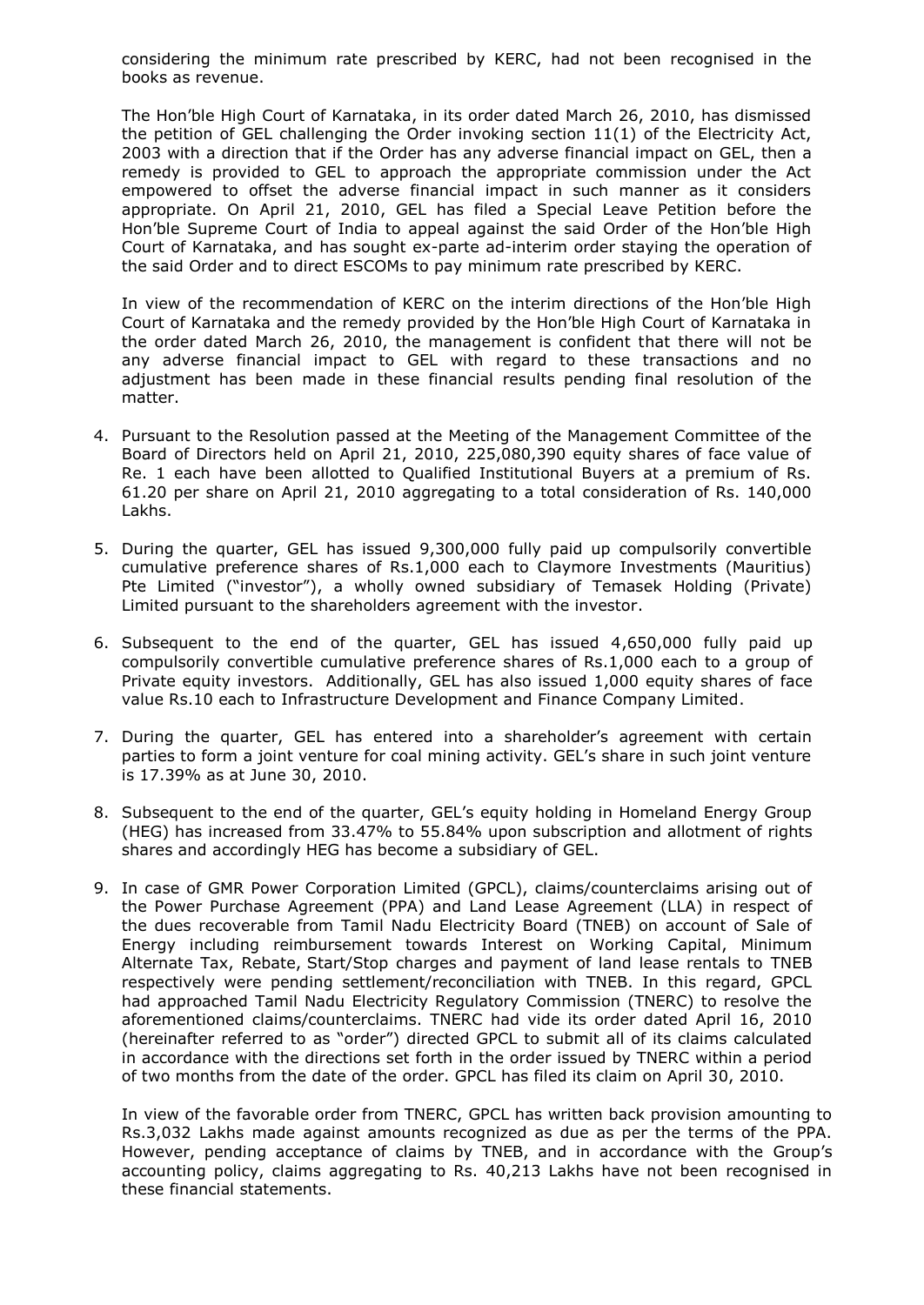considering the minimum rate prescribed by KERC, had not been recognised in the books as revenue.

The Hon"ble High Court of Karnataka, in its order dated March 26, 2010, has dismissed the petition of GEL challenging the Order invoking section 11(1) of the Electricity Act, 2003 with a direction that if the Order has any adverse financial impact on GEL, then a remedy is provided to GEL to approach the appropriate commission under the Act empowered to offset the adverse financial impact in such manner as it considers appropriate. On April 21, 2010, GEL has filed a Special Leave Petition before the Hon"ble Supreme Court of India to appeal against the said Order of the Hon"ble High Court of Karnataka, and has sought ex-parte ad-interim order staying the operation of the said Order and to direct ESCOMs to pay minimum rate prescribed by KERC.

In view of the recommendation of KERC on the interim directions of the Hon"ble High Court of Karnataka and the remedy provided by the Hon"ble High Court of Karnataka in the order dated March 26, 2010, the management is confident that there will not be any adverse financial impact to GEL with regard to these transactions and no adjustment has been made in these financial results pending final resolution of the matter.

- 4. Pursuant to the Resolution passed at the Meeting of the Management Committee of the Board of Directors held on April 21, 2010, 225,080,390 equity shares of face value of Re. 1 each have been allotted to Qualified Institutional Buyers at a premium of Rs. 61.20 per share on April 21, 2010 aggregating to a total consideration of Rs. 140,000 Lakhs.
- 5. During the quarter, GEL has issued 9,300,000 fully paid up compulsorily convertible cumulative preference shares of Rs.1,000 each to Claymore Investments (Mauritius) Pte Limited ("investor"), a wholly owned subsidiary of Temasek Holding (Private) Limited pursuant to the shareholders agreement with the investor.
- 6. Subsequent to the end of the quarter, GEL has issued 4,650,000 fully paid up compulsorily convertible cumulative preference shares of Rs.1,000 each to a group of Private equity investors. Additionally, GEL has also issued 1,000 equity shares of face value Rs.10 each to Infrastructure Development and Finance Company Limited.
- 7. During the quarter, GEL has entered into a shareholder's agreement with certain parties to form a joint venture for coal mining activity. GEL"s share in such joint venture is 17.39% as at June 30, 2010.
- 8. Subsequent to the end of the quarter, GEL"s equity holding in Homeland Energy Group (HEG) has increased from 33.47% to 55.84% upon subscription and allotment of rights shares and accordingly HEG has become a subsidiary of GEL.
- 9. In case of GMR Power Corporation Limited (GPCL), claims/counterclaims arising out of the Power Purchase Agreement (PPA) and Land Lease Agreement (LLA) in respect of the dues recoverable from Tamil Nadu Electricity Board (TNEB) on account of Sale of Energy including reimbursement towards Interest on Working Capital, Minimum Alternate Tax, Rebate, Start/Stop charges and payment of land lease rentals to TNEB respectively were pending settlement/reconciliation with TNEB. In this regard, GPCL had approached Tamil Nadu Electricity Regulatory Commission (TNERC) to resolve the aforementioned claims/counterclaims. TNERC had vide its order dated April 16, 2010 (hereinafter referred to as "order") directed GPCL to submit all of its claims calculated in accordance with the directions set forth in the order issued by TNERC within a period of two months from the date of the order. GPCL has filed its claim on April 30, 2010.

In view of the favorable order from TNERC, GPCL has written back provision amounting to Rs.3,032 Lakhs made against amounts recognized as due as per the terms of the PPA. However, pending acceptance of claims by TNEB, and in accordance with the Group"s accounting policy, claims aggregating to Rs. 40,213 Lakhs have not been recognised in these financial statements.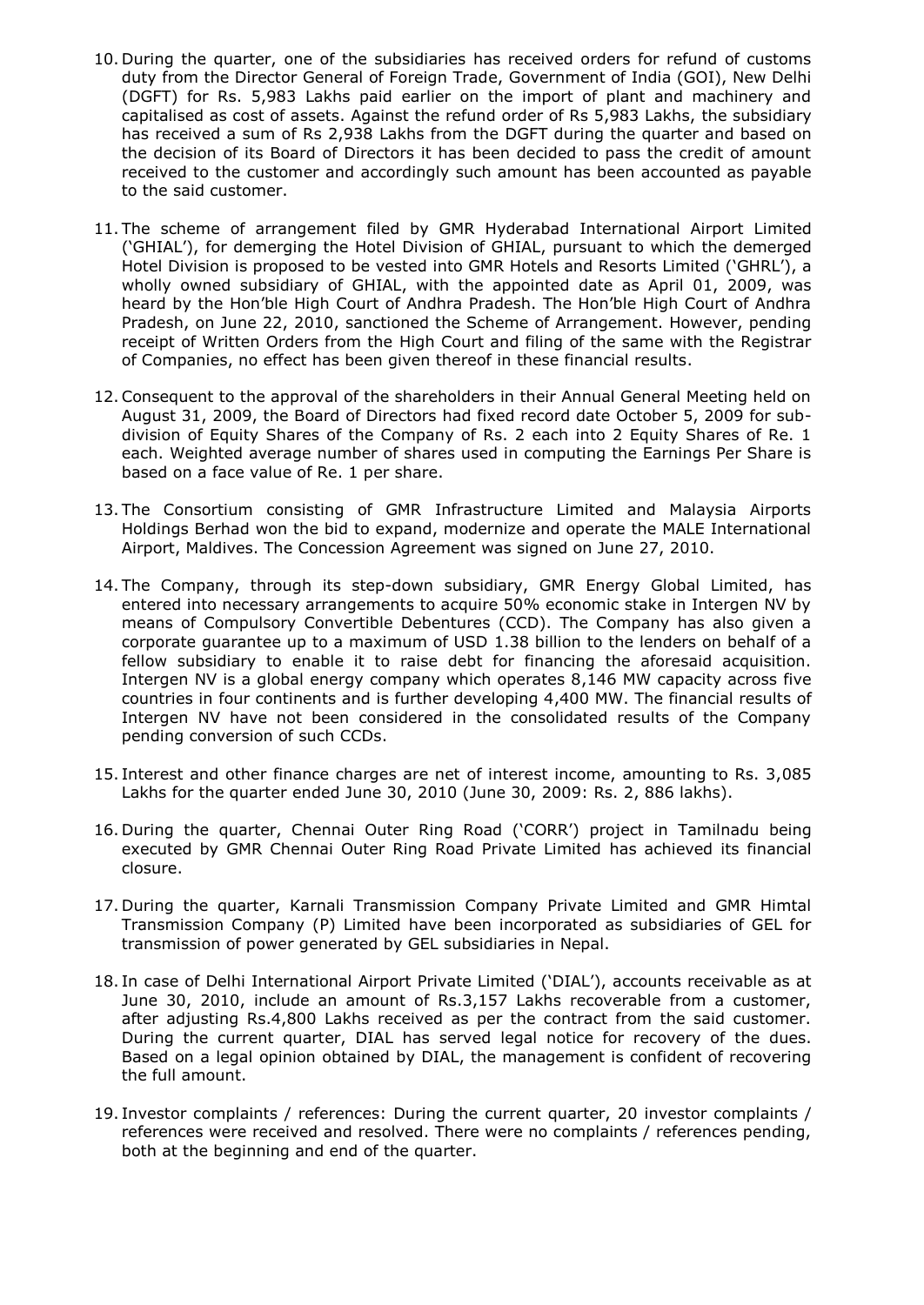- 10. During the quarter, one of the subsidiaries has received orders for refund of customs duty from the Director General of Foreign Trade, Government of India (GOI), New Delhi (DGFT) for Rs. 5,983 Lakhs paid earlier on the import of plant and machinery and capitalised as cost of assets. Against the refund order of Rs 5,983 Lakhs, the subsidiary has received a sum of Rs 2,938 Lakhs from the DGFT during the quarter and based on the decision of its Board of Directors it has been decided to pass the credit of amount received to the customer and accordingly such amount has been accounted as payable to the said customer.
- 11. The scheme of arrangement filed by GMR Hyderabad International Airport Limited ("GHIAL"), for demerging the Hotel Division of GHIAL, pursuant to which the demerged Hotel Division is proposed to be vested into GMR Hotels and Resorts Limited ("GHRL"), a wholly owned subsidiary of GHIAL, with the appointed date as April 01, 2009, was heard by the Hon"ble High Court of Andhra Pradesh. The Hon"ble High Court of Andhra Pradesh, on June 22, 2010, sanctioned the Scheme of Arrangement. However, pending receipt of Written Orders from the High Court and filing of the same with the Registrar of Companies, no effect has been given thereof in these financial results.
- 12.Consequent to the approval of the shareholders in their Annual General Meeting held on August 31, 2009, the Board of Directors had fixed record date October 5, 2009 for subdivision of Equity Shares of the Company of Rs. 2 each into 2 Equity Shares of Re. 1 each. Weighted average number of shares used in computing the Earnings Per Share is based on a face value of Re. 1 per share.
- 13. The Consortium consisting of GMR Infrastructure Limited and Malaysia Airports Holdings Berhad won the bid to expand, modernize and operate the MALE International Airport, Maldives. The Concession Agreement was signed on June 27, 2010.
- 14. The Company, through its step-down subsidiary, GMR Energy Global Limited, has entered into necessary arrangements to acquire 50% economic stake in Intergen NV by means of Compulsory Convertible Debentures (CCD). The Company has also given a corporate guarantee up to a maximum of USD 1.38 billion to the lenders on behalf of a fellow subsidiary to enable it to raise debt for financing the aforesaid acquisition. Intergen NV is a global energy company which operates 8,146 MW capacity across five countries in four continents and is further developing 4,400 MW. The financial results of Intergen NV have not been considered in the consolidated results of the Company pending conversion of such CCDs.
- 15. Interest and other finance charges are net of interest income, amounting to Rs. 3,085 Lakhs for the quarter ended June 30, 2010 (June 30, 2009: Rs. 2, 886 lakhs).
- 16. During the quarter, Chennai Outer Ring Road ("CORR") project in Tamilnadu being executed by GMR Chennai Outer Ring Road Private Limited has achieved its financial closure.
- 17. During the quarter, Karnali Transmission Company Private Limited and GMR Himtal Transmission Company (P) Limited have been incorporated as subsidiaries of GEL for transmission of power generated by GEL subsidiaries in Nepal.
- 18. In case of Delhi International Airport Private Limited ("DIAL"), accounts receivable as at June 30, 2010, include an amount of Rs.3,157 Lakhs recoverable from a customer, after adjusting Rs.4,800 Lakhs received as per the contract from the said customer. During the current quarter, DIAL has served legal notice for recovery of the dues. Based on a legal opinion obtained by DIAL, the management is confident of recovering the full amount.
- 19. Investor complaints / references: During the current quarter, 20 investor complaints / references were received and resolved. There were no complaints / references pending, both at the beginning and end of the quarter.